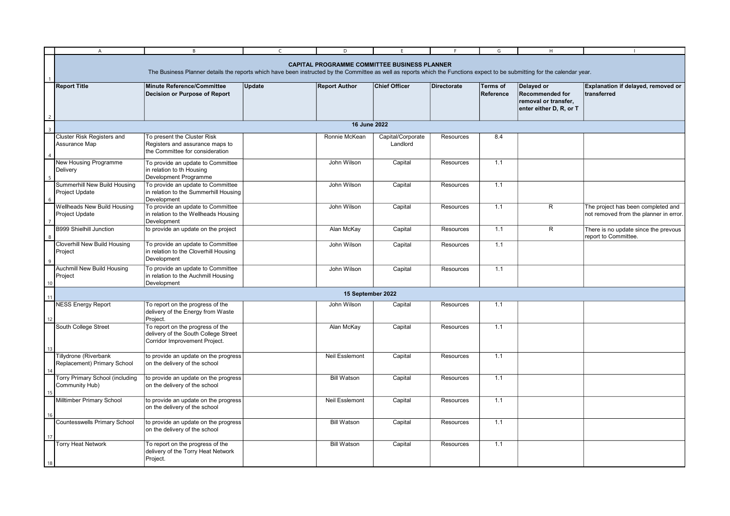|    | $\overline{A}$                                                                                                                                                                                                                    | B                                                                                                         | $\mathsf{C}$ | D                     |                               |                    | G                            | H                                                                                       |                                                                              |  |
|----|-----------------------------------------------------------------------------------------------------------------------------------------------------------------------------------------------------------------------------------|-----------------------------------------------------------------------------------------------------------|--------------|-----------------------|-------------------------------|--------------------|------------------------------|-----------------------------------------------------------------------------------------|------------------------------------------------------------------------------|--|
|    | <b>CAPITAL PROGRAMME COMMITTEE BUSINESS PLANNER</b><br>The Business Planner details the reports which have been instructed by the Committee as well as reports which the Functions expect to be submitting for the calendar year. |                                                                                                           |              |                       |                               |                    |                              |                                                                                         |                                                                              |  |
|    | <b>Report Title</b>                                                                                                                                                                                                               | <b>Minute Reference/Committee</b><br>Decision or Purpose of Report                                        | Update       | <b>Report Author</b>  | <b>Chief Officer</b>          | <b>Directorate</b> | <b>Terms of</b><br>Reference | Delayed or<br><b>Recommended for</b><br>removal or transfer,<br>enter either D, R, or T | Explanation if delayed, removed or<br>transferred                            |  |
|    | 16 June 2022                                                                                                                                                                                                                      |                                                                                                           |              |                       |                               |                    |                              |                                                                                         |                                                                              |  |
|    | Cluster Risk Registers and<br>Assurance Map                                                                                                                                                                                       | To present the Cluster Risk<br>Registers and assurance maps to<br>the Committee for consideration         |              | Ronnie McKean         | Capital/Corporate<br>Landlord | Resources          | 8.4                          |                                                                                         |                                                                              |  |
|    | New Housing Programme<br>Delivery                                                                                                                                                                                                 | To provide an update to Committee<br>in relation to th Housing<br>Development Programme                   |              | John Wilson           | Capital                       | Resources          | 1.1                          |                                                                                         |                                                                              |  |
|    | Summerhill New Build Housing<br>Project Update                                                                                                                                                                                    | To provide an update to Committee<br>in relation to the Summerhill Housing<br>Development                 |              | John Wilson           | Capital                       | Resources          | 1.1                          |                                                                                         |                                                                              |  |
|    | <b>Wellheads New Build Housing</b><br>Project Update                                                                                                                                                                              | To provide an update to Committee<br>in relation to the Wellheads Housing<br>Development                  |              | John Wilson           | Capital                       | Resources          | 1.1                          | R.                                                                                      | The project has been completed and<br>not removed from the planner in error. |  |
|    | <b>B999 Shielhill Junction</b>                                                                                                                                                                                                    | to provide an update on the project                                                                       |              | Alan McKay            | Capital                       | Resources          | 1.1                          | $\overline{R}$                                                                          | There is no update since the prevous<br>report to Committee.                 |  |
| 9  | Cloverhill New Build Housing<br>Project                                                                                                                                                                                           | To provide an update to Committee<br>in relation to the Cloverhill Housing<br>Development                 |              | John Wilson           | Capital                       | Resources          | 1.1                          |                                                                                         |                                                                              |  |
| 10 | <b>Auchmill New Build Housing</b><br>Project                                                                                                                                                                                      | To provide an update to Committee<br>in relation to the Auchmill Housing<br>Development                   |              | John Wilson           | Capital                       | Resources          | 1.1                          |                                                                                         |                                                                              |  |
| 11 | 15 September 2022                                                                                                                                                                                                                 |                                                                                                           |              |                       |                               |                    |                              |                                                                                         |                                                                              |  |
| 12 | <b>NESS Energy Report</b>                                                                                                                                                                                                         | To report on the progress of the<br>delivery of the Energy from Waste<br>Project.                         |              | John Wilson           | Capital                       | Resources          | 1.1                          |                                                                                         |                                                                              |  |
| 13 | South College Street                                                                                                                                                                                                              | To report on the progress of the<br>delivery of the South College Street<br>Corridor Improvement Project. |              | Alan McKay            | Capital                       | Resources          | 1.1                          |                                                                                         |                                                                              |  |
| 14 | Tillydrone (Riverbank<br>Replacement) Primary School                                                                                                                                                                              | to provide an update on the progress<br>on the delivery of the school                                     |              | Neil Esslemont        | Capital                       | Resources          | 1.1                          |                                                                                         |                                                                              |  |
|    | Torry Primary School (including<br>Community Hub)                                                                                                                                                                                 | to provide an update on the progress<br>on the delivery of the school                                     |              | <b>Bill Watson</b>    | Capital                       | Resources          | 1.1                          |                                                                                         |                                                                              |  |
|    | Milltimber Primary School                                                                                                                                                                                                         | to provide an update on the progress<br>on the delivery of the school                                     |              | <b>Neil Esslemont</b> | Capital                       | Resources          | 1.1                          |                                                                                         |                                                                              |  |
| 17 | Countesswells Primary School                                                                                                                                                                                                      | to provide an update on the progress<br>on the delivery of the school                                     |              | <b>Bill Watson</b>    | Capital                       | Resources          | 1.1                          |                                                                                         |                                                                              |  |
| 18 | <b>Torry Heat Network</b>                                                                                                                                                                                                         | To report on the progress of the<br>delivery of the Torry Heat Network<br>Project.                        |              | <b>Bill Watson</b>    | Capital                       | Resources          | 1.1                          |                                                                                         |                                                                              |  |